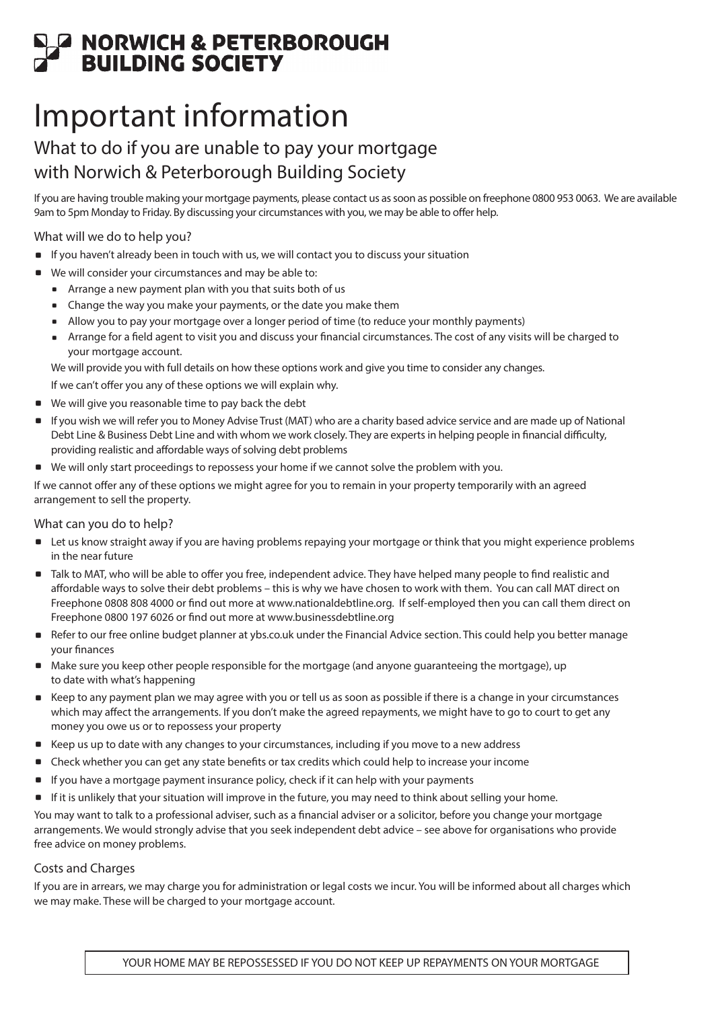# **EN DEATHER SEAR AN ARRY DEATH CONSTRUCTE**<br>BUILDING SOCIETY

## Important information

### What to do if you are unable to pay your mortgage with Norwich & Peterborough Building Society

If you are having trouble making your mortgage payments, please contact us as soon as possible on freephone 0800 953 0063. We are available 9am to 5pm Monday to Friday. By discussing your circumstances with you, we may be able to offer help.

What will we do to help you?

- . If you haven't already been in touch with us, we will contact you to discuss your situation
- . We will consider your circumstances and may be able to:
	- . Arrange a new payment plan with you that suits both of us
	- . Change the way you make your payments, or the date you make them
	- . Allow you to pay your mortgage over a longer period of time (to reduce your monthly payments)
	- . Arrange for a field agent to visit you and discuss your financial circumstances. The cost of any visits will be charged to your mortgage account.

We will provide you with full details on how these options work and give you time to consider any changes.

If we can't offer you any of these options we will explain why.

- . We will give you reasonable time to pay back the debt
- . If you wish we will refer you to Money Advise Trust (MAT) who are a charity based advice service and are made up of National Debt Line & Business Debt Line and with whom we work closely. They are experts in helping people in financial difficulty, providing realistic and affordable ways of solving debt problems
- . We will only start proceedings to repossess your home if we cannot solve the problem with you.

If we cannot offer any of these options we might agree for you to remain in your property temporarily with an agreed arrangement to sell the property.

#### What can you do to help?

- . Let us know straight away if you are having problems repaying your mortgage or think that you might experience problems in the near future
- . Talk to MAT, who will be able to offer you free, independent advice. They have helped many people to find realistic and affordable ways to solve their debt problems – this is why we have chosen to work with them. You can call MAT direct on Freephone 0808 808 4000 or find out more at www.nationaldebtline.org. If self-employed then you can call them direct on Freephone 0800 197 6026 or find out more at www.businessdebtline.org
- Refer to our free online budget planner at ybs.co.uk under the Financial Advice section. This could help you better manage your finances
- . Make sure you keep other people responsible for the mortgage (and anyone guaranteeing the mortgage), up to date with what's happening
- . Keep to any payment plan we may agree with you or tell us as soon as possible if there is a change in your circumstances which may affect the arrangements. If you don't make the agreed repayments, we might have to go to court to get any money you owe us or to repossess your property
- . Keep us up to date with any changes to your circumstances, including if you move to a new address
- . Check whether you can get any state benefits or tax credits which could help to increase your income
- . If you have a mortgage payment insurance policy, check if it can help with your payments
- . If it is unlikely that your situation will improve in the future, you may need to think about selling your home.

You may want to talk to a professional adviser, such as a financial adviser or a solicitor, before you change your mortgage arrangements. We would strongly advise that you seek independent debt advice – see above for organisations who provide free advice on money problems.

#### Costs and Charges

If you are in arrears, we may charge you for administration or legal costs we incur. You will be informed about all charges which we may make. These will be charged to your mortgage account.